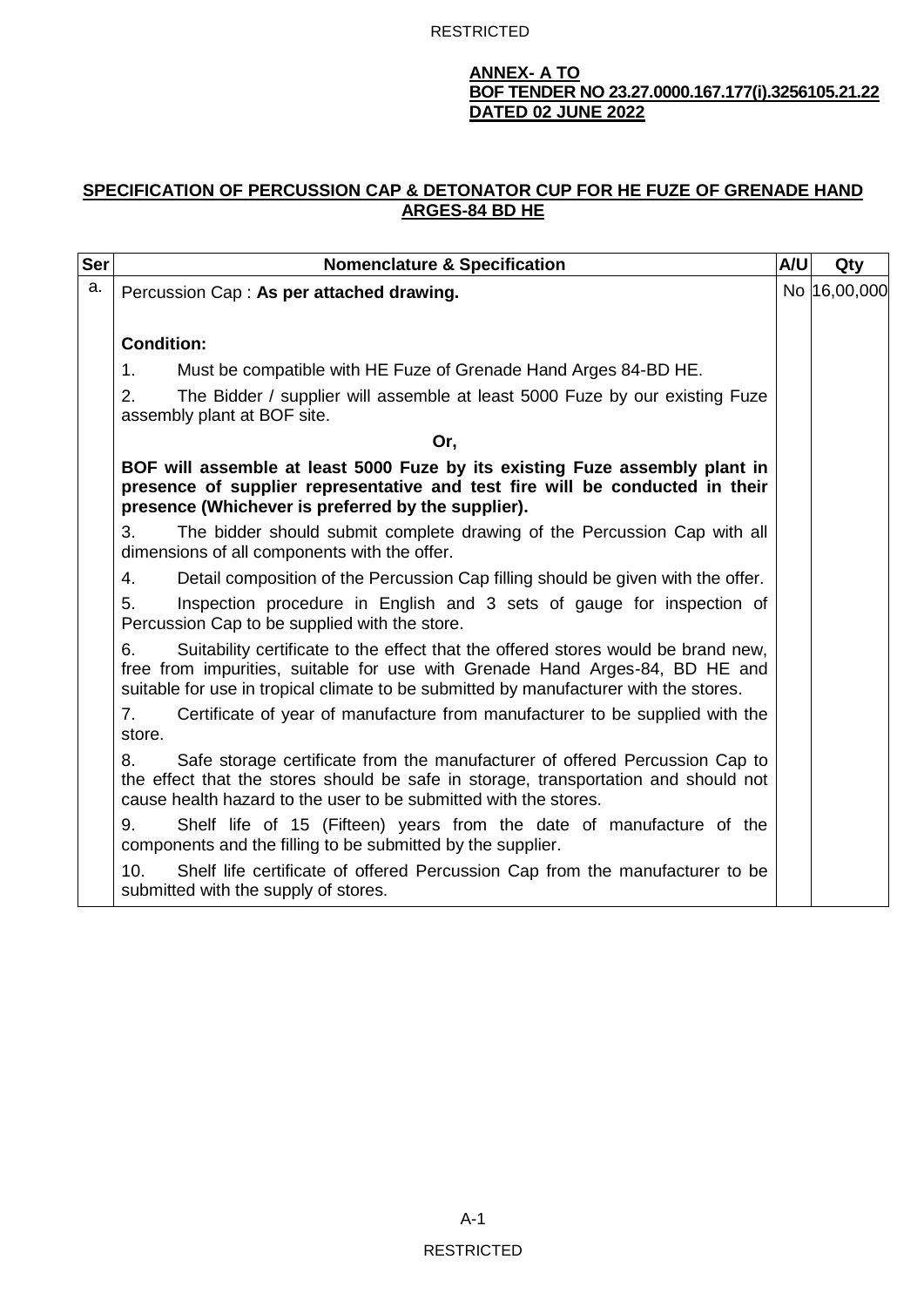### **ANNEX- A TO BOF TENDER NO 23.27.0000.167.177(i).3256105.21.22 DATED 02 JUNE 2022**

# **SPECIFICATION OF PERCUSSION CAP & DETONATOR CUP FOR HE FUZE OF GRENADE HAND ARGES-84 BD HE**

| <b>Ser</b> | <b>Nomenclature &amp; Specification</b>                                                                                                                                                                                                                          | A/U | Qty           |
|------------|------------------------------------------------------------------------------------------------------------------------------------------------------------------------------------------------------------------------------------------------------------------|-----|---------------|
| a.         | Percussion Cap: As per attached drawing.                                                                                                                                                                                                                         |     | No  16,00,000 |
|            | <b>Condition:</b>                                                                                                                                                                                                                                                |     |               |
|            | $\mathbf{1}$ .<br>Must be compatible with HE Fuze of Grenade Hand Arges 84-BD HE.                                                                                                                                                                                |     |               |
|            | 2.<br>The Bidder / supplier will assemble at least 5000 Fuze by our existing Fuze<br>assembly plant at BOF site.                                                                                                                                                 |     |               |
|            | Or,                                                                                                                                                                                                                                                              |     |               |
|            | BOF will assemble at least 5000 Fuze by its existing Fuze assembly plant in<br>presence of supplier representative and test fire will be conducted in their<br>presence (Whichever is preferred by the supplier).                                                |     |               |
|            | 3.<br>The bidder should submit complete drawing of the Percussion Cap with all<br>dimensions of all components with the offer.                                                                                                                                   |     |               |
|            | 4.<br>Detail composition of the Percussion Cap filling should be given with the offer.                                                                                                                                                                           |     |               |
|            | Inspection procedure in English and 3 sets of gauge for inspection of<br>5.<br>Percussion Cap to be supplied with the store.                                                                                                                                     |     |               |
|            | 6.<br>Suitability certificate to the effect that the offered stores would be brand new,<br>free from impurities, suitable for use with Grenade Hand Arges-84, BD HE and<br>suitable for use in tropical climate to be submitted by manufacturer with the stores. |     |               |
|            | Certificate of year of manufacture from manufacturer to be supplied with the<br>7 <sub>1</sub><br>store.                                                                                                                                                         |     |               |
|            | Safe storage certificate from the manufacturer of offered Percussion Cap to<br>8.<br>the effect that the stores should be safe in storage, transportation and should not<br>cause health hazard to the user to be submitted with the stores.                     |     |               |
|            | 9.<br>Shelf life of 15 (Fifteen) years from the date of manufacture of the<br>components and the filling to be submitted by the supplier.                                                                                                                        |     |               |
|            | 10.<br>Shelf life certificate of offered Percussion Cap from the manufacturer to be<br>submitted with the supply of stores.                                                                                                                                      |     |               |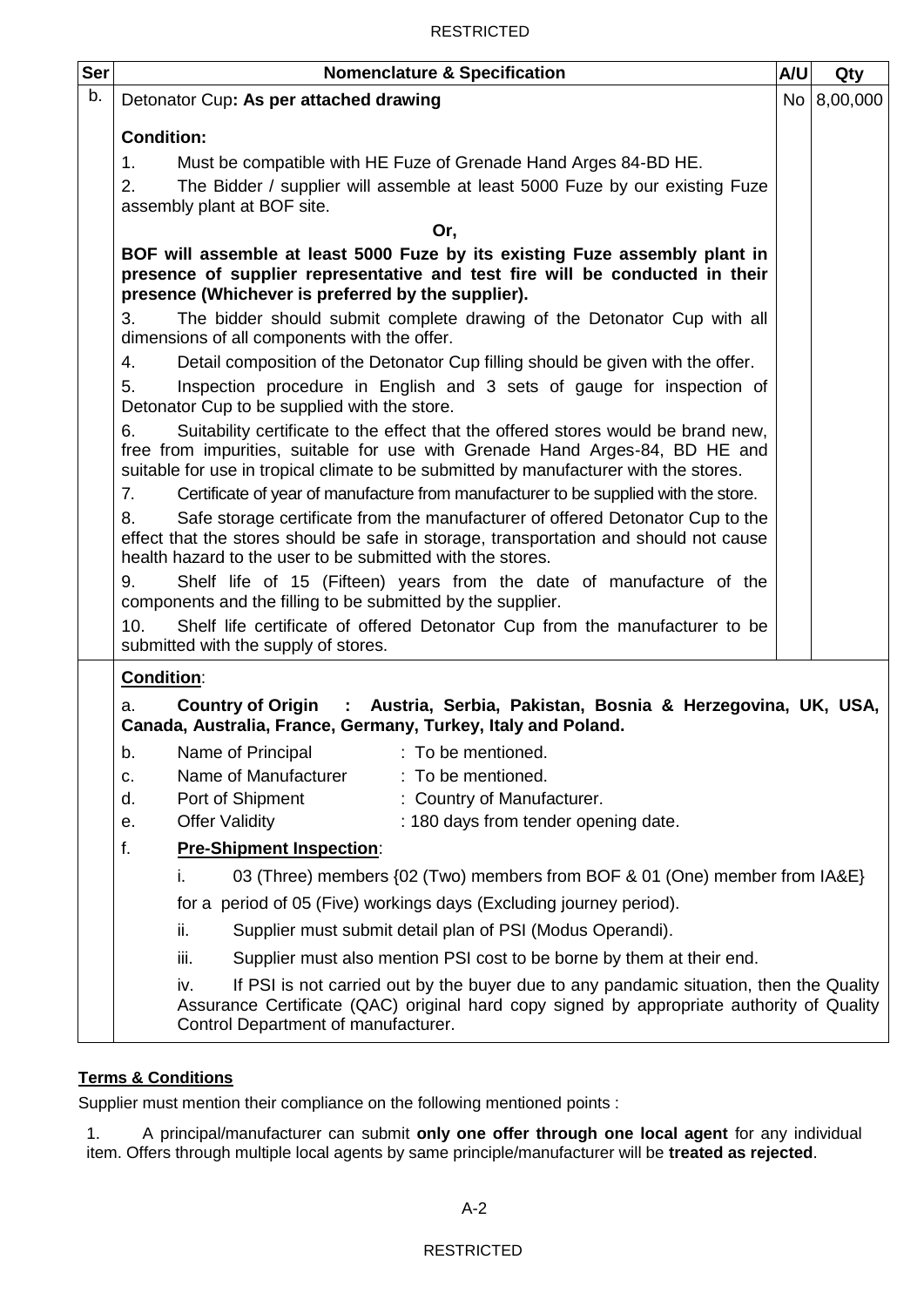| Ser | <b>Nomenclature &amp; Specification</b>                                                                                                                                                                                                                          | A/U | Qty         |  |  |  |  |  |
|-----|------------------------------------------------------------------------------------------------------------------------------------------------------------------------------------------------------------------------------------------------------------------|-----|-------------|--|--|--|--|--|
| b.  | Detonator Cup: As per attached drawing                                                                                                                                                                                                                           |     | No 8,00,000 |  |  |  |  |  |
|     | <b>Condition:</b>                                                                                                                                                                                                                                                |     |             |  |  |  |  |  |
|     | 1.<br>Must be compatible with HE Fuze of Grenade Hand Arges 84-BD HE.                                                                                                                                                                                            |     |             |  |  |  |  |  |
|     | 2.<br>The Bidder / supplier will assemble at least 5000 Fuze by our existing Fuze                                                                                                                                                                                |     |             |  |  |  |  |  |
|     | assembly plant at BOF site.                                                                                                                                                                                                                                      |     |             |  |  |  |  |  |
|     | Or,                                                                                                                                                                                                                                                              |     |             |  |  |  |  |  |
|     | BOF will assemble at least 5000 Fuze by its existing Fuze assembly plant in<br>presence of supplier representative and test fire will be conducted in their<br>presence (Whichever is preferred by the supplier).                                                |     |             |  |  |  |  |  |
|     | 3.<br>The bidder should submit complete drawing of the Detonator Cup with all<br>dimensions of all components with the offer.                                                                                                                                    |     |             |  |  |  |  |  |
|     | 4.<br>Detail composition of the Detonator Cup filling should be given with the offer.                                                                                                                                                                            |     |             |  |  |  |  |  |
|     | Inspection procedure in English and 3 sets of gauge for inspection of<br>5.<br>Detonator Cup to be supplied with the store.                                                                                                                                      |     |             |  |  |  |  |  |
|     | Suitability certificate to the effect that the offered stores would be brand new,<br>6.<br>free from impurities, suitable for use with Grenade Hand Arges-84, BD HE and<br>suitable for use in tropical climate to be submitted by manufacturer with the stores. |     |             |  |  |  |  |  |
|     | Certificate of year of manufacture from manufacturer to be supplied with the store.<br>7.                                                                                                                                                                        |     |             |  |  |  |  |  |
|     | Safe storage certificate from the manufacturer of offered Detonator Cup to the<br>8.<br>effect that the stores should be safe in storage, transportation and should not cause<br>health hazard to the user to be submitted with the stores.                      |     |             |  |  |  |  |  |
|     | 9.<br>Shelf life of 15 (Fifteen) years from the date of manufacture of the<br>components and the filling to be submitted by the supplier.                                                                                                                        |     |             |  |  |  |  |  |
|     | 10.<br>Shelf life certificate of offered Detonator Cup from the manufacturer to be<br>submitted with the supply of stores.                                                                                                                                       |     |             |  |  |  |  |  |
|     | <b>Condition:</b>                                                                                                                                                                                                                                                |     |             |  |  |  |  |  |
|     | Country of Origin : Austria, Serbia, Pakistan, Bosnia & Herzegovina, UK, USA,<br>a.<br>Canada, Australia, France, Germany, Turkey, Italy and Poland.                                                                                                             |     |             |  |  |  |  |  |
|     | : To be mentioned.<br>Name of Principal<br>b.                                                                                                                                                                                                                    |     |             |  |  |  |  |  |
|     | Name of Manufacturer<br>: To be mentioned.<br>c.                                                                                                                                                                                                                 |     |             |  |  |  |  |  |
|     | : Country of Manufacturer.<br>Port of Shipment<br>d.                                                                                                                                                                                                             |     |             |  |  |  |  |  |
|     | <b>Offer Validity</b><br>: 180 days from tender opening date.<br>е.                                                                                                                                                                                              |     |             |  |  |  |  |  |
|     | f.<br><b>Pre-Shipment Inspection:</b>                                                                                                                                                                                                                            |     |             |  |  |  |  |  |
|     | 03 (Three) members {02 (Two) members from BOF & 01 (One) member from IA&E}<br>I.                                                                                                                                                                                 |     |             |  |  |  |  |  |
|     | for a period of 05 (Five) workings days (Excluding journey period).                                                                                                                                                                                              |     |             |  |  |  |  |  |
|     | Supplier must submit detail plan of PSI (Modus Operandi).<br>ii.                                                                                                                                                                                                 |     |             |  |  |  |  |  |
|     | iii.<br>Supplier must also mention PSI cost to be borne by them at their end.                                                                                                                                                                                    |     |             |  |  |  |  |  |
|     | If PSI is not carried out by the buyer due to any pandamic situation, then the Quality<br>iv.<br>Assurance Certificate (QAC) original hard copy signed by appropriate authority of Quality<br>Control Department of manufacturer.                                |     |             |  |  |  |  |  |

# **Terms & Conditions**

Supplier must mention their compliance on the following mentioned points :

1. A principal/manufacturer can submit **only one offer through one local agent** for any individual item. Offers through multiple local agents by same principle/manufacturer will be **treated as rejected**.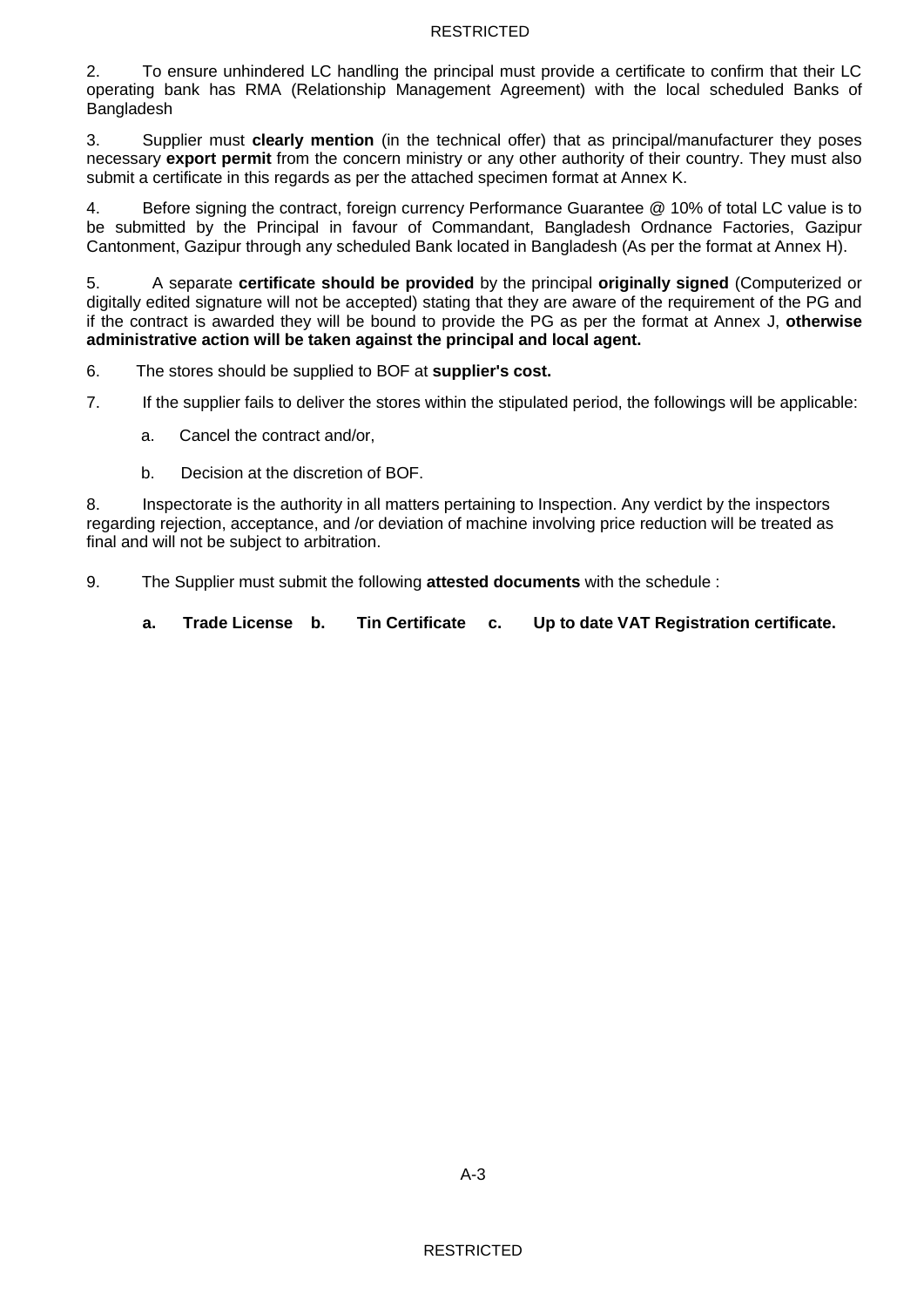2. To ensure unhindered LC handling the principal must provide a certificate to confirm that their LC operating bank has RMA (Relationship Management Agreement) with the local scheduled Banks of Bangladesh

3. Supplier must **clearly mention** (in the technical offer) that as principal/manufacturer they poses necessary **export permit** from the concern ministry or any other authority of their country. They must also submit a certificate in this regards as per the attached specimen format at Annex K.

4. Before signing the contract, foreign currency Performance Guarantee @ 10% of total LC value is to be submitted by the Principal in favour of Commandant, Bangladesh Ordnance Factories, Gazipur Cantonment, Gazipur through any scheduled Bank located in Bangladesh (As per the format at Annex H).

5. A separate **certificate should be provided** by the principal **originally signed** (Computerized or digitally edited signature will not be accepted) stating that they are aware of the requirement of the PG and if the contract is awarded they will be bound to provide the PG as per the format at Annex J, **otherwise administrative action will be taken against the principal and local agent.** 

6. The stores should be supplied to BOF at **supplier's cost.**

7. If the supplier fails to deliver the stores within the stipulated period, the followings will be applicable:

a. Cancel the contract and/or,

b. Decision at the discretion of BOF.

8. Inspectorate is the authority in all matters pertaining to Inspection. Any verdict by the inspectors regarding rejection, acceptance, and /or deviation of machine involving price reduction will be treated as final and will not be subject to arbitration.

9. The Supplier must submit the following **attested documents** with the schedule :

**a. Trade License b. Tin Certificate c. Up to date VAT Registration certificate.**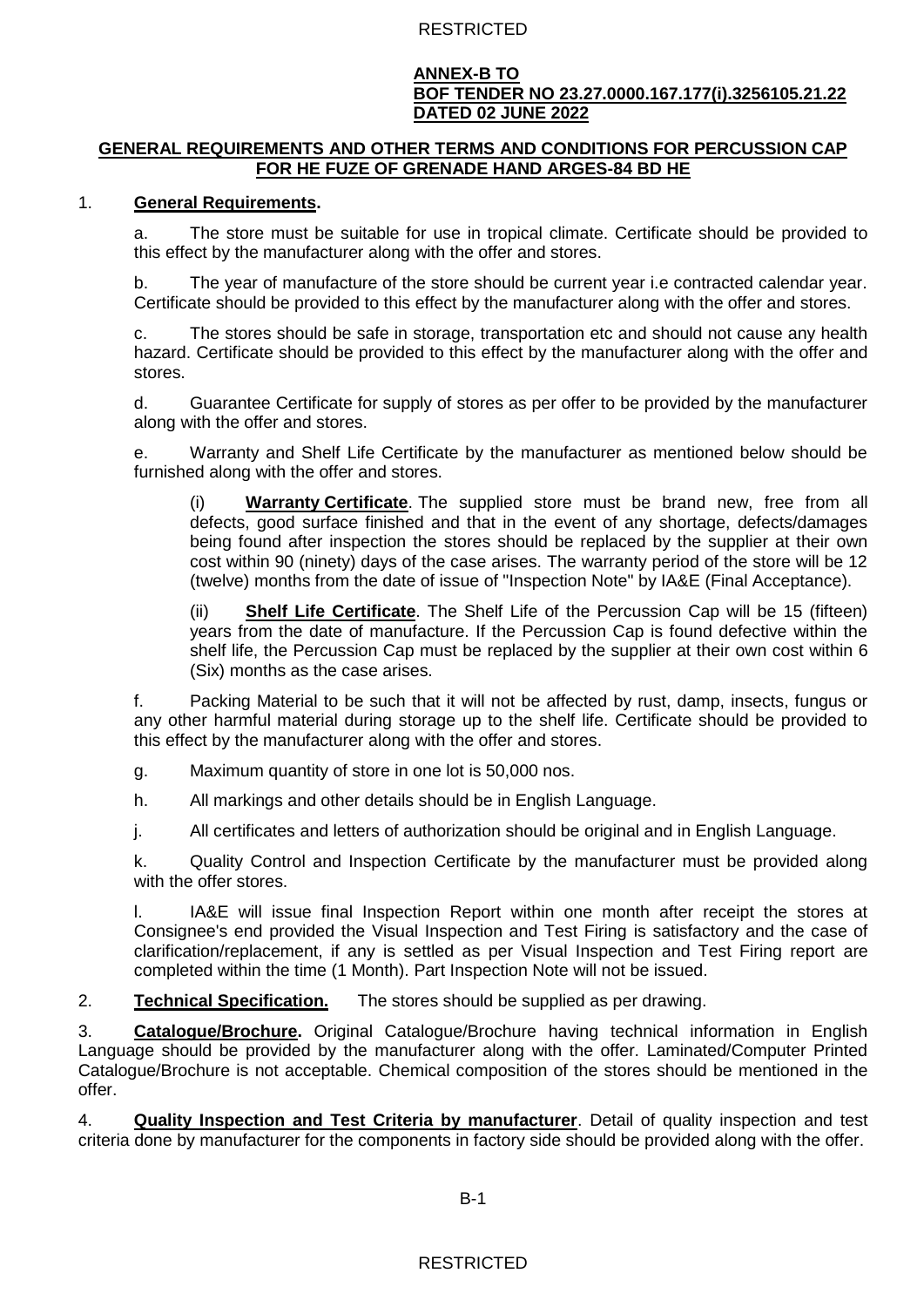#### **ANNEX-B TO BOF TENDER NO 23.27.0000.167.177(i).3256105.21.22 DATED 02 JUNE 2022**

### **GENERAL REQUIREMENTS AND OTHER TERMS AND CONDITIONS FOR PERCUSSION CAP FOR HE FUZE OF GRENADE HAND ARGES-84 BD HE**

### 1. **General Requirements.**

a. The store must be suitable for use in tropical climate. Certificate should be provided to this effect by the manufacturer along with the offer and stores.

b. The year of manufacture of the store should be current year i.e contracted calendar year. Certificate should be provided to this effect by the manufacturer along with the offer and stores.

c. The stores should be safe in storage, transportation etc and should not cause any health hazard. Certificate should be provided to this effect by the manufacturer along with the offer and stores.

d. Guarantee Certificate for supply of stores as per offer to be provided by the manufacturer along with the offer and stores.

e. Warranty and Shelf Life Certificate by the manufacturer as mentioned below should be furnished along with the offer and stores.

(i) **Warranty Certificate**. The supplied store must be brand new, free from all defects, good surface finished and that in the event of any shortage, defects/damages being found after inspection the stores should be replaced by the supplier at their own cost within 90 (ninety) days of the case arises. The warranty period of the store will be 12 (twelve) months from the date of issue of "Inspection Note" by IA&E (Final Acceptance).

(ii) **Shelf Life Certificate**. The Shelf Life of the Percussion Cap will be 15 (fifteen) years from the date of manufacture. If the Percussion Cap is found defective within the shelf life, the Percussion Cap must be replaced by the supplier at their own cost within 6 (Six) months as the case arises.

f. Packing Material to be such that it will not be affected by rust, damp, insects, fungus or any other harmful material during storage up to the shelf life. Certificate should be provided to this effect by the manufacturer along with the offer and stores.

g. Maximum quantity of store in one lot is 50,000 nos.

h. All markings and other details should be in English Language.

j. All certificates and letters of authorization should be original and in English Language.

k. Quality Control and Inspection Certificate by the manufacturer must be provided along with the offer stores.

l. IA&E will issue final Inspection Report within one month after receipt the stores at Consignee's end provided the Visual Inspection and Test Firing is satisfactory and the case of clarification/replacement, if any is settled as per Visual Inspection and Test Firing report are completed within the time (1 Month). Part Inspection Note will not be issued.

2. **Technical Specification.** The stores should be supplied as per drawing.

3. **Catalogue/Brochure.** Original Catalogue/Brochure having technical information in English Language should be provided by the manufacturer along with the offer. Laminated/Computer Printed Catalogue/Brochure is not acceptable. Chemical composition of the stores should be mentioned in the offer.

4. **Quality Inspection and Test Criteria by manufacturer**. Detail of quality inspection and test criteria done by manufacturer for the components in factory side should be provided along with the offer.

B-1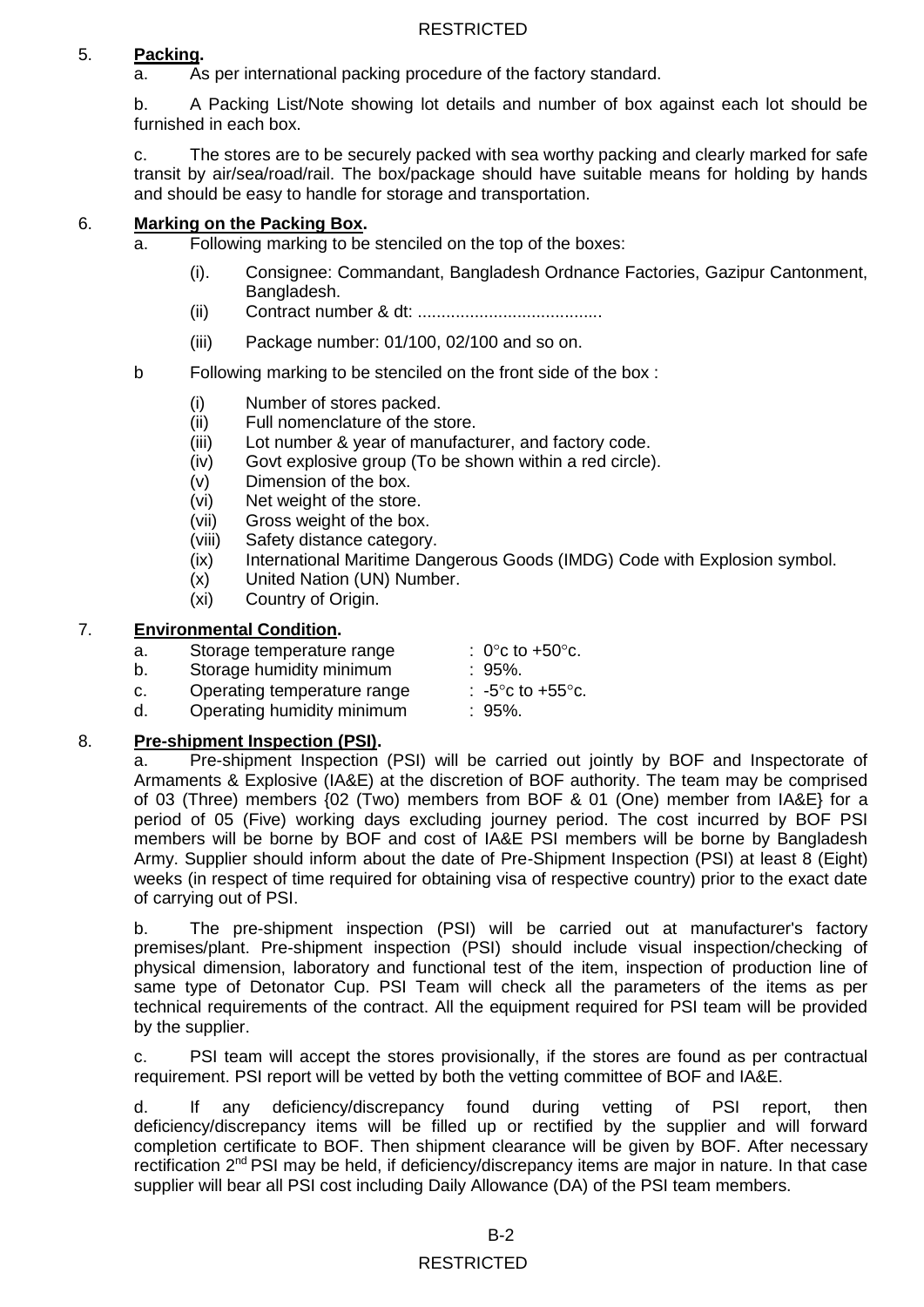# 5. **Packing.**

a. As per international packing procedure of the factory standard.

b. A Packing List/Note showing lot details and number of box against each lot should be furnished in each box.

c. The stores are to be securely packed with sea worthy packing and clearly marked for safe transit by air/sea/road/rail. The box/package should have suitable means for holding by hands and should be easy to handle for storage and transportation.

# 6. **Marking on the Packing Box.**

- a. Following marking to be stenciled on the top of the boxes:
	- (i). Consignee: Commandant, Bangladesh Ordnance Factories, Gazipur Cantonment, Bangladesh.
	- (ii) Contract number & dt: .......................................
	- (iii) Package number: 01/100, 02/100 and so on.
- b Following marking to be stenciled on the front side of the box :
	- (i) Number of stores packed.
	- (ii) Full nomenclature of the store.
	- (iii) Lot number & year of manufacturer, and factory code.
	- (iv) Govt explosive group (To be shown within a red circle).
	- (v) Dimension of the box.
	- (vi) Net weight of the store.
	- (vii) Gross weight of the box.
	- (viii) Safety distance category.
	- (ix) International Maritime Dangerous Goods (IMDG) Code with Explosion symbol.
	- (x) United Nation (UN) Number.
	- (xi) Country of Origin.

### 7. **Environmental Condition.**

- a. Storage temperature range  $\therefore$  0°c to +50°c.
- b. Storage humidity minimum : 95%.
- c. Operating temperature range  $\therefore$  -5 $^{\circ}$ c to +55 $^{\circ}$ c.
- d. Operating humidity minimum : 95%.

### 8. **Pre-shipment Inspection (PSI).**

a. Pre-shipment Inspection (PSI) will be carried out jointly by BOF and Inspectorate of Armaments & Explosive (IA&E) at the discretion of BOF authority. The team may be comprised of 03 (Three) members {02 (Two) members from BOF & 01 (One) member from IA&E} for a period of 05 (Five) working days excluding journey period. The cost incurred by BOF PSI members will be borne by BOF and cost of IA&E PSI members will be borne by Bangladesh Army. Supplier should inform about the date of Pre-Shipment Inspection (PSI) at least 8 (Eight) weeks (in respect of time required for obtaining visa of respective country) prior to the exact date of carrying out of PSI.

b. The pre-shipment inspection (PSI) will be carried out at manufacturer's factory premises/plant. Pre-shipment inspection (PSI) should include visual inspection/checking of physical dimension, laboratory and functional test of the item, inspection of production line of same type of Detonator Cup. PSI Team will check all the parameters of the items as per technical requirements of the contract. All the equipment required for PSI team will be provided by the supplier.

c. PSI team will accept the stores provisionally, if the stores are found as per contractual requirement. PSI report will be vetted by both the vetting committee of BOF and IA&E.

d. If any deficiency/discrepancy found during vetting of PSI report, then deficiency/discrepancy items will be filled up or rectified by the supplier and will forward completion certificate to BOF. Then shipment clearance will be given by BOF. After necessary rectification 2<sup>nd</sup> PSI may be held, if deficiency/discrepancy items are major in nature. In that case supplier will bear all PSI cost including Daily Allowance (DA) of the PSI team members.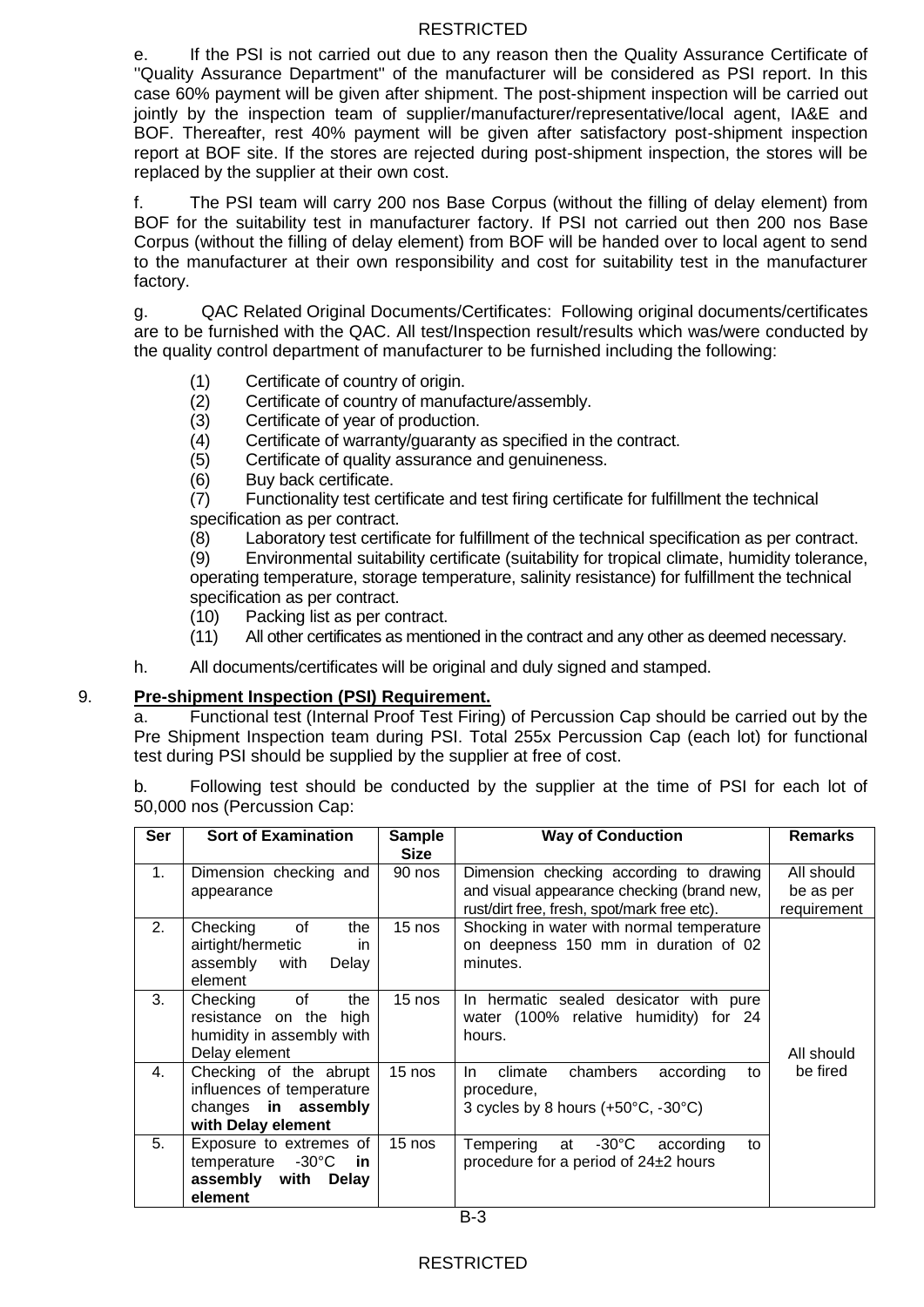e. If the PSI is not carried out due to any reason then the Quality Assurance Certificate of ''Quality Assurance Department'' of the manufacturer will be considered as PSI report. In this case 60% payment will be given after shipment. The post-shipment inspection will be carried out jointly by the inspection team of supplier/manufacturer/representative/local agent, IA&E and BOF. Thereafter, rest 40% payment will be given after satisfactory post-shipment inspection report at BOF site. If the stores are rejected during post-shipment inspection, the stores will be replaced by the supplier at their own cost.

f. The PSI team will carry 200 nos Base Corpus (without the filling of delay element) from BOF for the suitability test in manufacturer factory. If PSI not carried out then 200 nos Base Corpus (without the filling of delay element) from BOF will be handed over to local agent to send to the manufacturer at their own responsibility and cost for suitability test in the manufacturer factory.

g. QAC Related Original Documents/Certificates: Following original documents/certificates are to be furnished with the QAC. All test/Inspection result/results which was/were conducted by the quality control department of manufacturer to be furnished including the following:

- (1) Certificate of country of origin.
- (2) Certificate of country of manufacture/assembly.<br>(3) Certificate of year of production.
- Certificate of year of production.
- (4) Certificate of warranty/guaranty as specified in the contract.
- (5) Certificate of quality assurance and genuineness.
- (6) Buy back certificate.

(7) Functionality test certificate and test firing certificate for fulfillment the technical specification as per contract.

(8) Laboratory test certificate for fulfillment of the technical specification as per contract.

(9) Environmental suitability certificate (suitability for tropical climate, humidity tolerance, operating temperature, storage temperature, salinity resistance) for fulfillment the technical specification as per contract.

- (10) Packing list as per contract.
- (11) All other certificates as mentioned in the contract and any other as deemed necessary.
- h. All documents/certificates will be original and duly signed and stamped.

#### 9. **Pre-shipment Inspection (PSI) Requirement.**

a. Functional test (Internal Proof Test Firing) of Percussion Cap should be carried out by the Pre Shipment Inspection team during PSI. Total 255x Percussion Cap (each lot) for functional test during PSI should be supplied by the supplier at free of cost.

b. Following test should be conducted by the supplier at the time of PSI for each lot of 50,000 nos (Percussion Cap:

| <b>Ser</b>     | <b>Sort of Examination</b>                                                                        | <b>Sample</b><br><b>Size</b> | <b>Way of Conduction</b>                                                                          | <b>Remarks</b>           |  |
|----------------|---------------------------------------------------------------------------------------------------|------------------------------|---------------------------------------------------------------------------------------------------|--------------------------|--|
| 1.             | Dimension checking and                                                                            | 90 nos                       | Dimension checking according to drawing<br>and visual appearance checking (brand new,             | All should               |  |
|                | appearance                                                                                        |                              | rust/dirt free, fresh, spot/mark free etc).                                                       | be as per<br>requirement |  |
| 2.             | of<br>Checking<br>the<br>airtight/hermetic<br>in.<br>assembly<br>with<br>Delay<br>element         | 15 nos                       | Shocking in water with normal temperature<br>on deepness 150 mm in duration of 02<br>minutes.     |                          |  |
| 3.             | Checking<br>of<br>the<br>resistance on the<br>high<br>humidity in assembly with<br>Delay element  | 15 nos                       | In hermatic sealed desicator with pure<br>water (100% relative humidity) for 24<br>hours.         | All should               |  |
| 4.             | Checking of the abrupt<br>influences of temperature<br>changes in assembly<br>with Delay element  | $15$ nos                     | chambers<br>climate<br>according<br>In.<br>to<br>procedure,<br>3 cycles by 8 hours (+50°C, -30°C) | be fired                 |  |
| 5 <sub>1</sub> | Exposure to extremes of<br>temperature -30°C<br>in in<br>assembly with<br><b>Delay</b><br>element | $15$ nos                     | at $-30^{\circ}$ C<br>Tempering<br>according<br>to<br>procedure for a period of $24\pm2$ hours    |                          |  |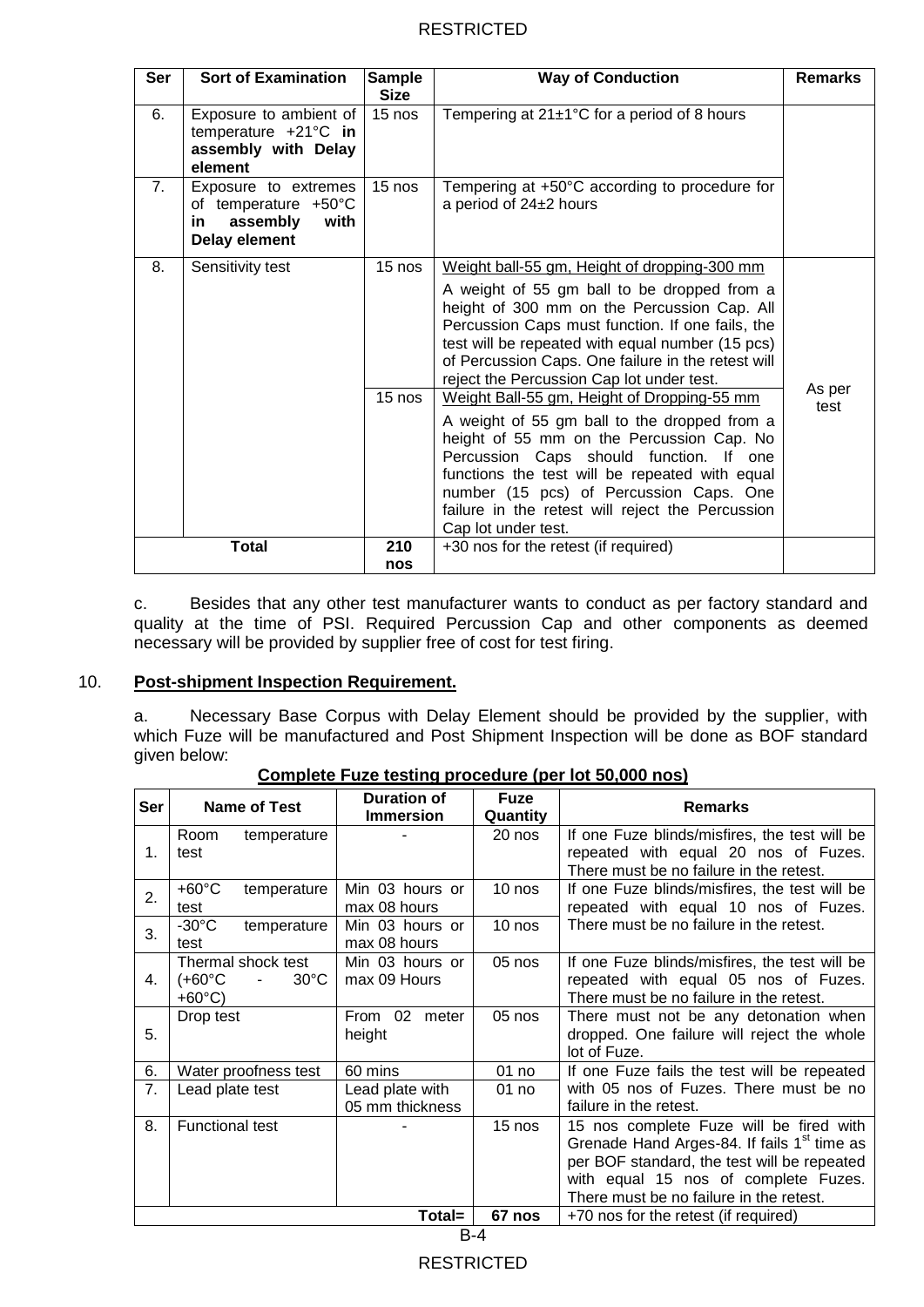| Ser            | <b>Sort of Examination</b>                                                                                                                                                                                                                                                                                                                                                          | <b>Sample</b><br><b>Size</b> | <b>Way of Conduction</b>                                                                                                                                                                                                                                                                                                                                    | <b>Remarks</b> |  |
|----------------|-------------------------------------------------------------------------------------------------------------------------------------------------------------------------------------------------------------------------------------------------------------------------------------------------------------------------------------------------------------------------------------|------------------------------|-------------------------------------------------------------------------------------------------------------------------------------------------------------------------------------------------------------------------------------------------------------------------------------------------------------------------------------------------------------|----------------|--|
| 6.             | Exposure to ambient of<br>temperature $+21^{\circ}$ C in<br>assembly with Delay<br>element                                                                                                                                                                                                                                                                                          | $15$ nos                     | Tempering at $21\pm1\degree$ C for a period of 8 hours                                                                                                                                                                                                                                                                                                      |                |  |
| 7 <sub>1</sub> | Exposure to extremes<br>of temperature +50°C<br>assembly<br>with<br>in.<br><b>Delay element</b>                                                                                                                                                                                                                                                                                     | $15$ nos                     | Tempering at +50°C according to procedure for<br>a period of 24±2 hours                                                                                                                                                                                                                                                                                     |                |  |
| 8.             | 15 nos<br>Sensitivity test<br>Weight ball-55 gm, Height of dropping-300 mm<br>A weight of 55 gm ball to be dropped from a<br>height of 300 mm on the Percussion Cap. All<br>Percussion Caps must function. If one fails, the<br>test will be repeated with equal number (15 pcs)<br>of Percussion Caps. One failure in the retest will<br>reject the Percussion Cap lot under test. |                              |                                                                                                                                                                                                                                                                                                                                                             |                |  |
|                |                                                                                                                                                                                                                                                                                                                                                                                     | 15 nos                       | Weight Ball-55 gm, Height of Dropping-55 mm<br>A weight of 55 gm ball to the dropped from a<br>height of 55 mm on the Percussion Cap. No<br>Percussion Caps should function. If one<br>functions the test will be repeated with equal<br>number (15 pcs) of Percussion Caps. One<br>failure in the retest will reject the Percussion<br>Cap lot under test. | As per<br>test |  |
|                | <b>Total</b>                                                                                                                                                                                                                                                                                                                                                                        | 210<br>nos                   | +30 nos for the retest (if required)                                                                                                                                                                                                                                                                                                                        |                |  |

c. Besides that any other test manufacturer wants to conduct as per factory standard and quality at the time of PSI. Required Percussion Cap and other components as deemed necessary will be provided by supplier free of cost for test firing.

### 10. **Post-shipment Inspection Requirement.**

a. Necessary Base Corpus with Delay Element should be provided by the supplier, with which Fuze will be manufactured and Post Shipment Inspection will be done as BOF standard given below:

| Ser | <b>Name of Test</b>                | <b>Duration of</b><br><b>Immersion</b> | <b>Fuze</b><br>Quantity | <b>Remarks</b>                                          |
|-----|------------------------------------|----------------------------------------|-------------------------|---------------------------------------------------------|
|     | Room<br>temperature                |                                        | 20 nos                  | If one Fuze blinds/misfires, the test will be           |
| 1.  | test                               |                                        |                         | repeated with equal 20 nos of Fuzes.                    |
|     |                                    |                                        |                         | There must be no failure in the retest.                 |
| 2.  | $+60^{\circ}$ C<br>temperature     | Min 03 hours or                        | 10 nos                  | If one Fuze blinds/misfires, the test will be           |
|     | test                               | max 08 hours                           |                         | repeated with equal 10 nos of Fuzes.                    |
| 3.  | $-30^{\circ}$ C<br>temperature     | Min 03 hours or                        | $10$ nos                | There must be no failure in the retest.                 |
|     | test                               | max 08 hours                           |                         |                                                         |
|     | Thermal shock test                 | Min 03 hours or                        | 05 nos                  | If one Fuze blinds/misfires, the test will be           |
| 4.  | $(+60^{\circ}$ C<br>$30^{\circ}$ C | max 09 Hours                           |                         | repeated with equal 05 nos of Fuzes.                    |
|     | $+60^{\circ}$ C)                   |                                        |                         | There must be no failure in the retest.                 |
|     | Drop test                          | From<br>02<br>meter                    | 05 nos                  | There must not be any detonation when                   |
| 5.  |                                    | height                                 |                         | dropped. One failure will reject the whole              |
|     |                                    |                                        |                         | lot of Fuze.                                            |
| 6.  | Water proofness test               | 60 mins                                | 01 no                   | If one Fuze fails the test will be repeated             |
| 7.  | Lead plate test                    | Lead plate with                        | 01 no                   | with 05 nos of Fuzes. There must be no                  |
|     |                                    | 05 mm thickness                        |                         | failure in the retest.                                  |
| 8.  | <b>Functional test</b>             |                                        | 15 nos                  | 15 nos complete Fuze will be fired with                 |
|     |                                    |                                        |                         | Grenade Hand Arges-84. If fails 1 <sup>st</sup> time as |
|     |                                    |                                        |                         | per BOF standard, the test will be repeated             |
|     |                                    |                                        |                         | with equal 15 nos of complete Fuzes.                    |
|     |                                    |                                        |                         | There must be no failure in the retest.                 |
|     |                                    | Total=                                 | 67 nos                  | +70 nos for the retest (if required)                    |

**Complete Fuze testing procedure (per lot 50,000 nos)**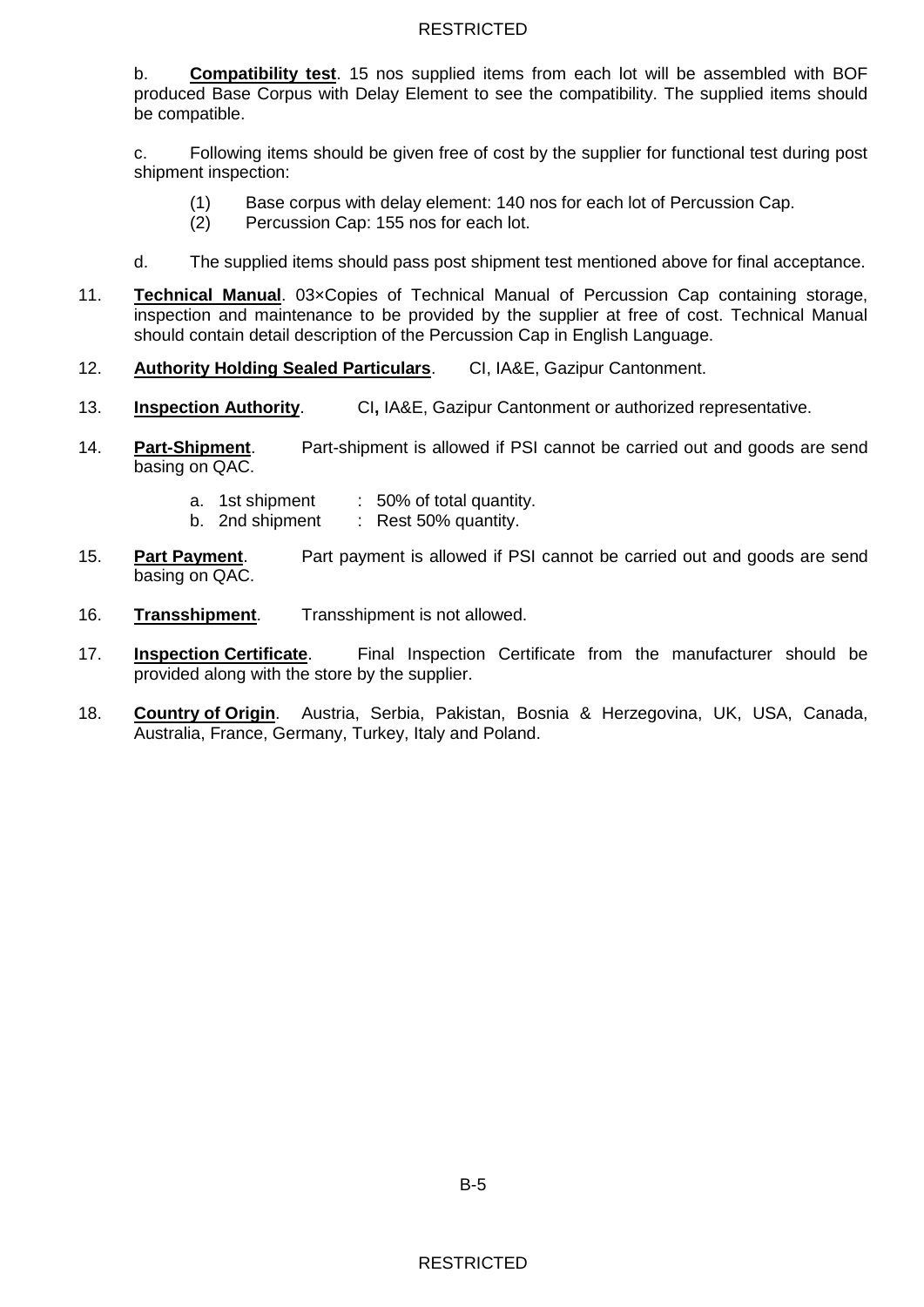b. **Compatibility test**. 15 nos supplied items from each lot will be assembled with BOF produced Base Corpus with Delay Element to see the compatibility. The supplied items should be compatible.

c. Following items should be given free of cost by the supplier for functional test during post shipment inspection:

- (1) Base corpus with delay element: 140 nos for each lot of Percussion Cap.
- (2) Percussion Cap: 155 nos for each lot.
- d. The supplied items should pass post shipment test mentioned above for final acceptance.
- 11. **Technical Manual**. 03×Copies of Technical Manual of Percussion Cap containing storage, inspection and maintenance to be provided by the supplier at free of cost. Technical Manual should contain detail description of the Percussion Cap in English Language.
- 12. **Authority Holding Sealed Particulars**. CI, IA&E, Gazipur Cantonment.
- 13. **Inspection Authority**. CI**,** IA&E, Gazipur Cantonment or authorized representative.
- 14. **Part-Shipment**. Part-shipment is allowed if PSI cannot be carried out and goods are send basing on QAC.
	- a. 1st shipment : 50% of total quantity.<br>b. 2nd shipment : Rest 50% quantity.
	- : Rest 50% quantity.
- 15. **Part Payment**. Part payment is allowed if PSI cannot be carried out and goods are send basing on QAC.
- 16. **Transshipment**. Transshipment is not allowed.
- 17. **Inspection Certificate**. Final Inspection Certificate from the manufacturer should be provided along with the store by the supplier.
- 18. **Country of Origin**. Austria, Serbia, Pakistan, Bosnia & Herzegovina, UK, USA, Canada, Australia, France, Germany, Turkey, Italy and Poland.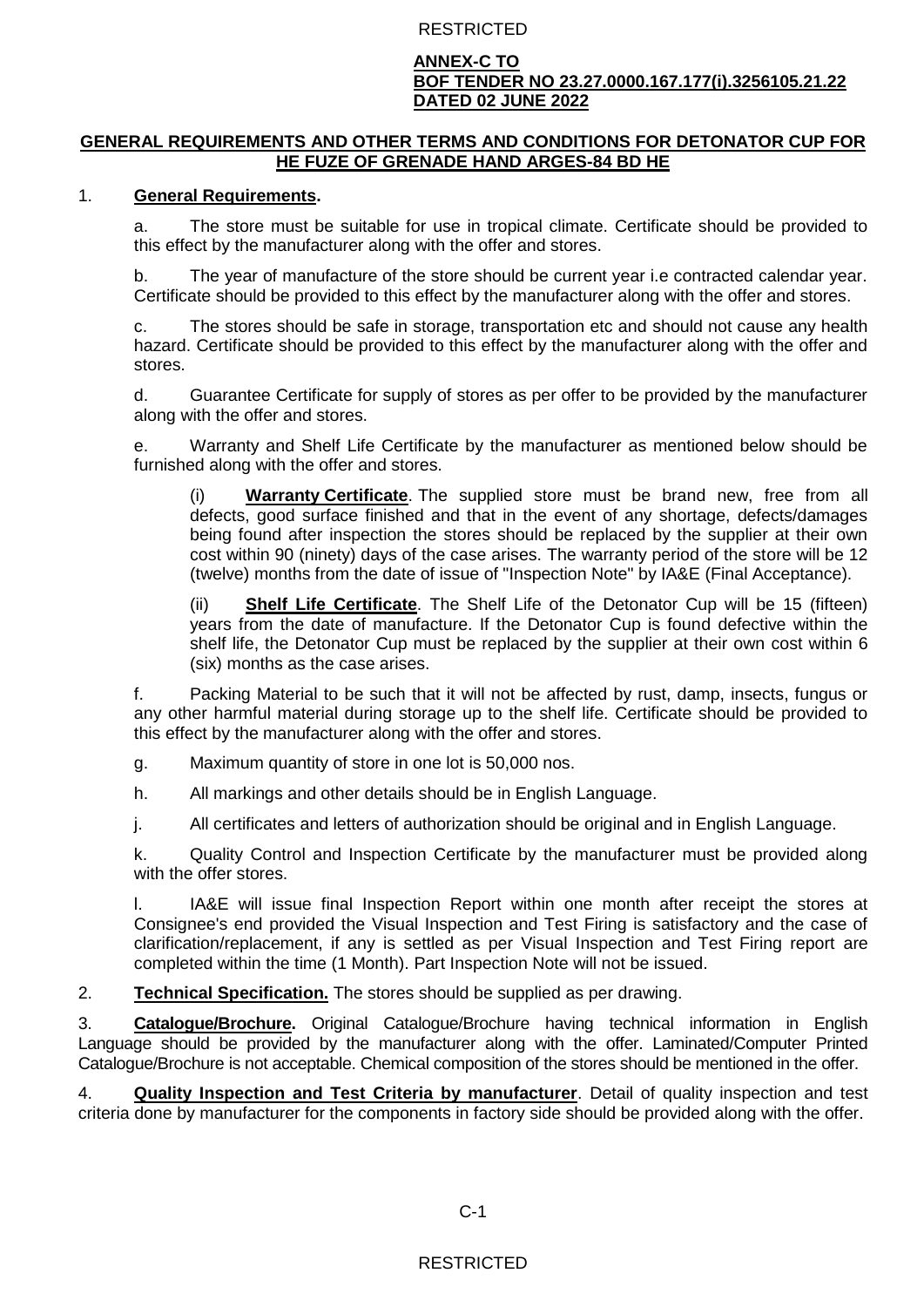### **ANNEX-C TO BOF TENDER NO 23.27.0000.167.177(i).3256105.21.22 DATED 02 JUNE 2022**

### **GENERAL REQUIREMENTS AND OTHER TERMS AND CONDITIONS FOR DETONATOR CUP FOR HE FUZE OF GRENADE HAND ARGES-84 BD HE**

### 1. **General Requirements.**

a. The store must be suitable for use in tropical climate. Certificate should be provided to this effect by the manufacturer along with the offer and stores.

b. The year of manufacture of the store should be current year i.e contracted calendar year. Certificate should be provided to this effect by the manufacturer along with the offer and stores.

c. The stores should be safe in storage, transportation etc and should not cause any health hazard. Certificate should be provided to this effect by the manufacturer along with the offer and stores.

d. Guarantee Certificate for supply of stores as per offer to be provided by the manufacturer along with the offer and stores.

e. Warranty and Shelf Life Certificate by the manufacturer as mentioned below should be furnished along with the offer and stores.

(i) **Warranty Certificate**. The supplied store must be brand new, free from all defects, good surface finished and that in the event of any shortage, defects/damages being found after inspection the stores should be replaced by the supplier at their own cost within 90 (ninety) days of the case arises. The warranty period of the store will be 12 (twelve) months from the date of issue of "Inspection Note" by IA&E (Final Acceptance).

(ii) **Shelf Life Certificate**. The Shelf Life of the Detonator Cup will be 15 (fifteen) years from the date of manufacture. If the Detonator Cup is found defective within the shelf life, the Detonator Cup must be replaced by the supplier at their own cost within 6 (six) months as the case arises.

f. Packing Material to be such that it will not be affected by rust, damp, insects, fungus or any other harmful material during storage up to the shelf life. Certificate should be provided to this effect by the manufacturer along with the offer and stores.

g. Maximum quantity of store in one lot is 50,000 nos.

h. All markings and other details should be in English Language.

j. All certificates and letters of authorization should be original and in English Language.

k. Quality Control and Inspection Certificate by the manufacturer must be provided along with the offer stores.

I. IA&E will issue final Inspection Report within one month after receipt the stores at Consignee's end provided the Visual Inspection and Test Firing is satisfactory and the case of clarification/replacement, if any is settled as per Visual Inspection and Test Firing report are completed within the time (1 Month). Part Inspection Note will not be issued.

2. **Technical Specification.** The stores should be supplied as per drawing.

3. **Catalogue/Brochure.** Original Catalogue/Brochure having technical information in English Language should be provided by the manufacturer along with the offer. Laminated/Computer Printed Catalogue/Brochure is not acceptable. Chemical composition of the stores should be mentioned in the offer.

4. **Quality Inspection and Test Criteria by manufacturer**. Detail of quality inspection and test criteria done by manufacturer for the components in factory side should be provided along with the offer.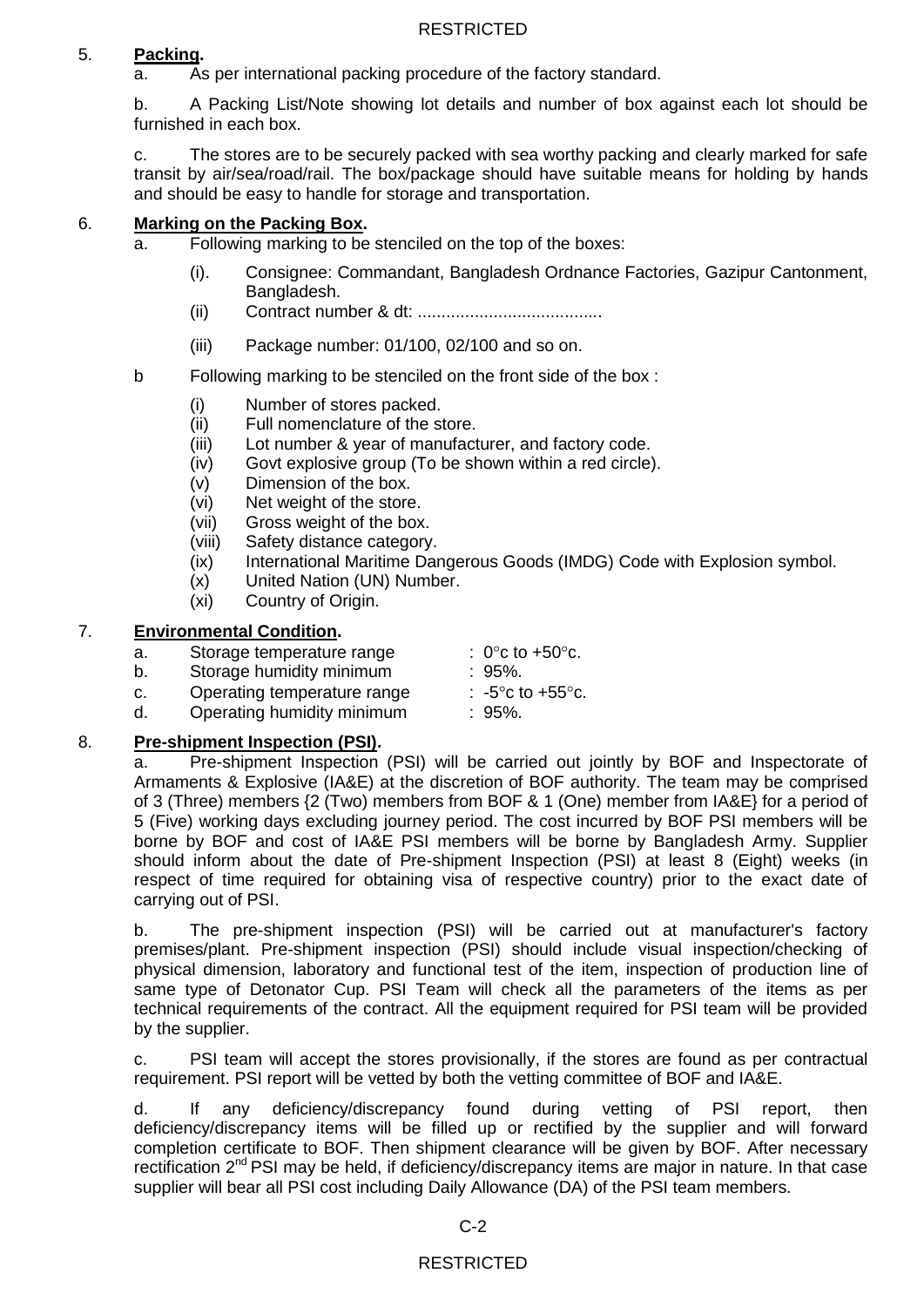## 5. **Packing.**

a. As per international packing procedure of the factory standard.

b. A Packing List/Note showing lot details and number of box against each lot should be furnished in each box.

c. The stores are to be securely packed with sea worthy packing and clearly marked for safe transit by air/sea/road/rail. The box/package should have suitable means for holding by hands and should be easy to handle for storage and transportation.

## 6. **Marking on the Packing Box.**

- a. Following marking to be stenciled on the top of the boxes:
	- (i). Consignee: Commandant, Bangladesh Ordnance Factories, Gazipur Cantonment, Bangladesh.
	- (ii) Contract number & dt: .......................................
	- (iii) Package number: 01/100, 02/100 and so on.
- b Following marking to be stenciled on the front side of the box :
	- (i) Number of stores packed.
	- (ii) Full nomenclature of the store.
	- (iii) Lot number & year of manufacturer, and factory code.
	- (iv) Govt explosive group (To be shown within a red circle).
	- (v) Dimension of the box.
	- (vi) Net weight of the store.
	- (vii) Gross weight of the box.
	- (viii) Safety distance category.
	- (ix) International Maritime Dangerous Goods (IMDG) Code with Explosion symbol.
	- (x) United Nation (UN) Number.
	- (xi) Country of Origin.

### 7. **Environmental Condition.**

- a. Storage temperature range  $\therefore$  0°c to +50°c.
- b. Storage humidity minimum : 95%.
- c. Operating temperature range  $\qquad$ : -5<sup>o</sup>c to +55<sup>o</sup>c.
- d. Operating humidity minimum : 95%.

### 8. **Pre-shipment Inspection (PSI).**

a. Pre-shipment Inspection (PSI) will be carried out jointly by BOF and Inspectorate of Armaments & Explosive (IA&E) at the discretion of BOF authority. The team may be comprised of 3 (Three) members {2 (Two) members from BOF & 1 (One) member from IA&E} for a period of 5 (Five) working days excluding journey period. The cost incurred by BOF PSI members will be borne by BOF and cost of IA&E PSI members will be borne by Bangladesh Army. Supplier should inform about the date of Pre-shipment Inspection (PSI) at least 8 (Eight) weeks (in respect of time required for obtaining visa of respective country) prior to the exact date of carrying out of PSI.

b. The pre-shipment inspection (PSI) will be carried out at manufacturer's factory premises/plant. Pre-shipment inspection (PSI) should include visual inspection/checking of physical dimension, laboratory and functional test of the item, inspection of production line of same type of Detonator Cup. PSI Team will check all the parameters of the items as per technical requirements of the contract. All the equipment required for PSI team will be provided by the supplier.

c. PSI team will accept the stores provisionally, if the stores are found as per contractual requirement. PSI report will be vetted by both the vetting committee of BOF and IA&E.

d. If any deficiency/discrepancy found during vetting of PSI report, then deficiency/discrepancy items will be filled up or rectified by the supplier and will forward completion certificate to BOF. Then shipment clearance will be given by BOF. After necessary rectification 2<sup>nd</sup> PSI may be held, if deficiency/discrepancy items are major in nature. In that case supplier will bear all PSI cost including Daily Allowance (DA) of the PSI team members.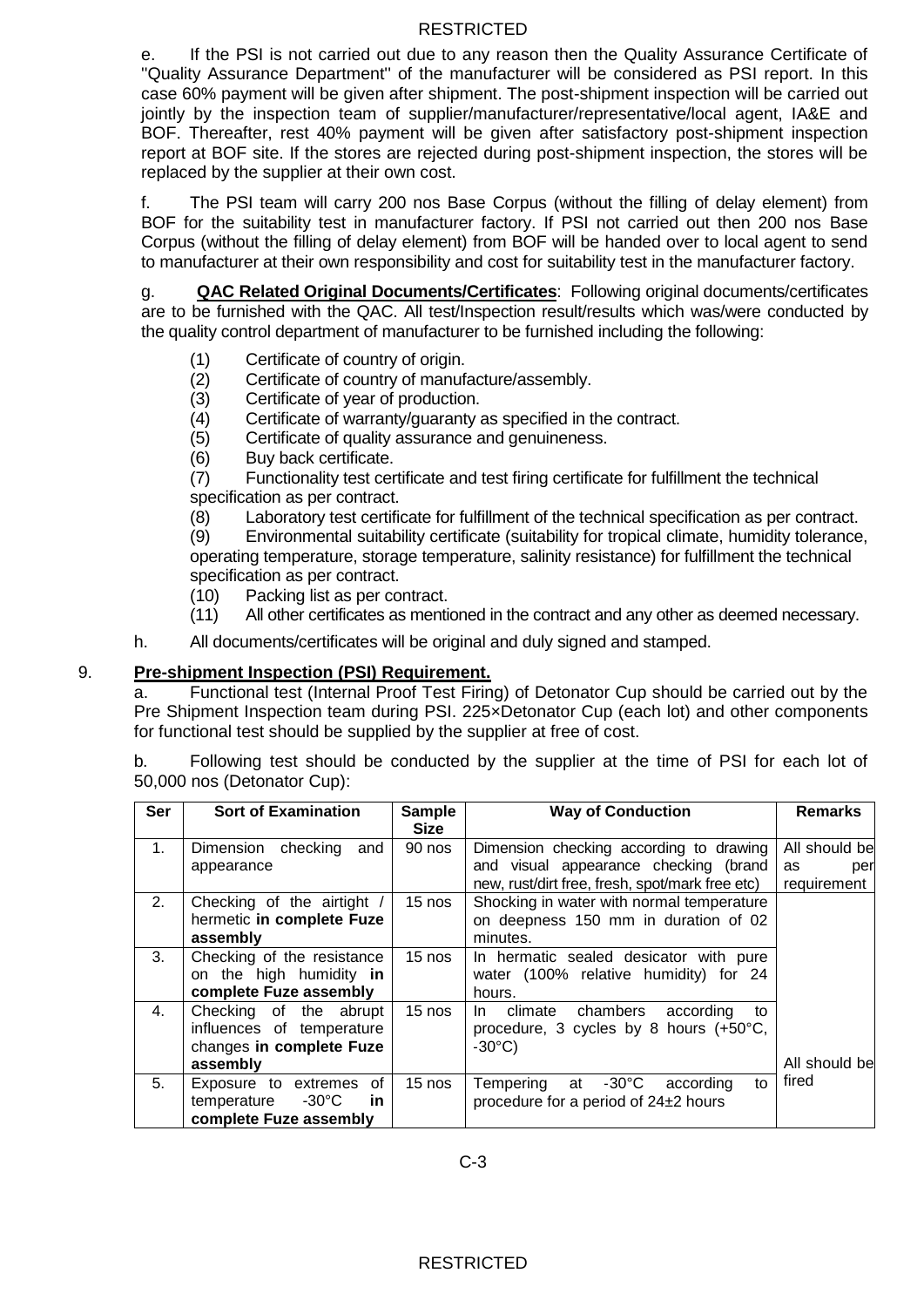e. If the PSI is not carried out due to any reason then the Quality Assurance Certificate of ''Quality Assurance Department'' of the manufacturer will be considered as PSI report. In this case 60% payment will be given after shipment. The post-shipment inspection will be carried out jointly by the inspection team of supplier/manufacturer/representative/local agent, IA&E and BOF. Thereafter, rest 40% payment will be given after satisfactory post-shipment inspection report at BOF site. If the stores are rejected during post-shipment inspection, the stores will be replaced by the supplier at their own cost.

f. The PSI team will carry 200 nos Base Corpus (without the filling of delay element) from BOF for the suitability test in manufacturer factory. If PSI not carried out then 200 nos Base Corpus (without the filling of delay element) from BOF will be handed over to local agent to send to manufacturer at their own responsibility and cost for suitability test in the manufacturer factory.

g. **QAC Related Original Documents/Certificates**: Following original documents/certificates are to be furnished with the QAC. All test/Inspection result/results which was/were conducted by the quality control department of manufacturer to be furnished including the following:

- (1) Certificate of country of origin.
- (2) Certificate of country of manufacture/assembly.
- (3) Certificate of year of production.
- (4) Certificate of warranty/guaranty as specified in the contract.
- (5) Certificate of quality assurance and genuineness.
- (6) Buy back certificate.

(7) Functionality test certificate and test firing certificate for fulfillment the technical specification as per contract.

(8) Laboratory test certificate for fulfillment of the technical specification as per contract.

(9) Environmental suitability certificate (suitability for tropical climate, humidity tolerance, operating temperature, storage temperature, salinity resistance) for fulfillment the technical specification as per contract.

- (10) Packing list as per contract.
- (11) All other certificates as mentioned in the contract and any other as deemed necessary.
- h. All documents/certificates will be original and duly signed and stamped.

### 9. **Pre-shipment Inspection (PSI) Requirement.**

a. Functional test (Internal Proof Test Firing) of Detonator Cup should be carried out by the Pre Shipment Inspection team during PSI. 225×Detonator Cup (each lot) and other components for functional test should be supplied by the supplier at free of cost.

b. Following test should be conducted by the supplier at the time of PSI for each lot of 50,000 nos (Detonator Cup):

| Ser | <b>Sort of Examination</b>                                                                   | <b>Sample</b><br><b>Size</b> | <b>Way of Conduction</b>                                                                                                            | <b>Remarks</b>                            |
|-----|----------------------------------------------------------------------------------------------|------------------------------|-------------------------------------------------------------------------------------------------------------------------------------|-------------------------------------------|
| 1.  | Dimension checking<br>and<br>appearance                                                      | 90 nos                       | Dimension checking according to drawing<br>and visual appearance checking (brand<br>new, rust/dirt free, fresh, spot/mark free etc) | All should be<br>as<br>per<br>requirement |
| 2.  | Checking of the airtight<br>hermetic in complete Fuze<br>assembly                            | $15$ nos                     | Shocking in water with normal temperature<br>on deepness 150 mm in duration of 02<br>minutes.                                       |                                           |
| 3.  | Checking of the resistance<br>on the high humidity in<br>complete Fuze assembly              | 15 nos                       | In hermatic sealed desicator with pure<br>water (100% relative humidity) for 24<br>hours.                                           |                                           |
| 4.  | Checking of the abrupt<br>influences of temperature<br>changes in complete Fuze<br>assembly  | $15$ nos                     | chambers according<br>climate<br>tο<br>In.<br>procedure, 3 cycles by 8 hours (+50°C,<br>$-30^{\circ}$ C)                            | All should be                             |
| 5.  | 0f<br>Exposure to extremes<br>$-30^{\circ}$ C<br>temperature<br>in<br>complete Fuze assembly | 15 nos                       | $-30^{\circ}$ C<br>Tempering at<br>according<br>to<br>procedure for a period of 24±2 hours                                          | fired                                     |

C-3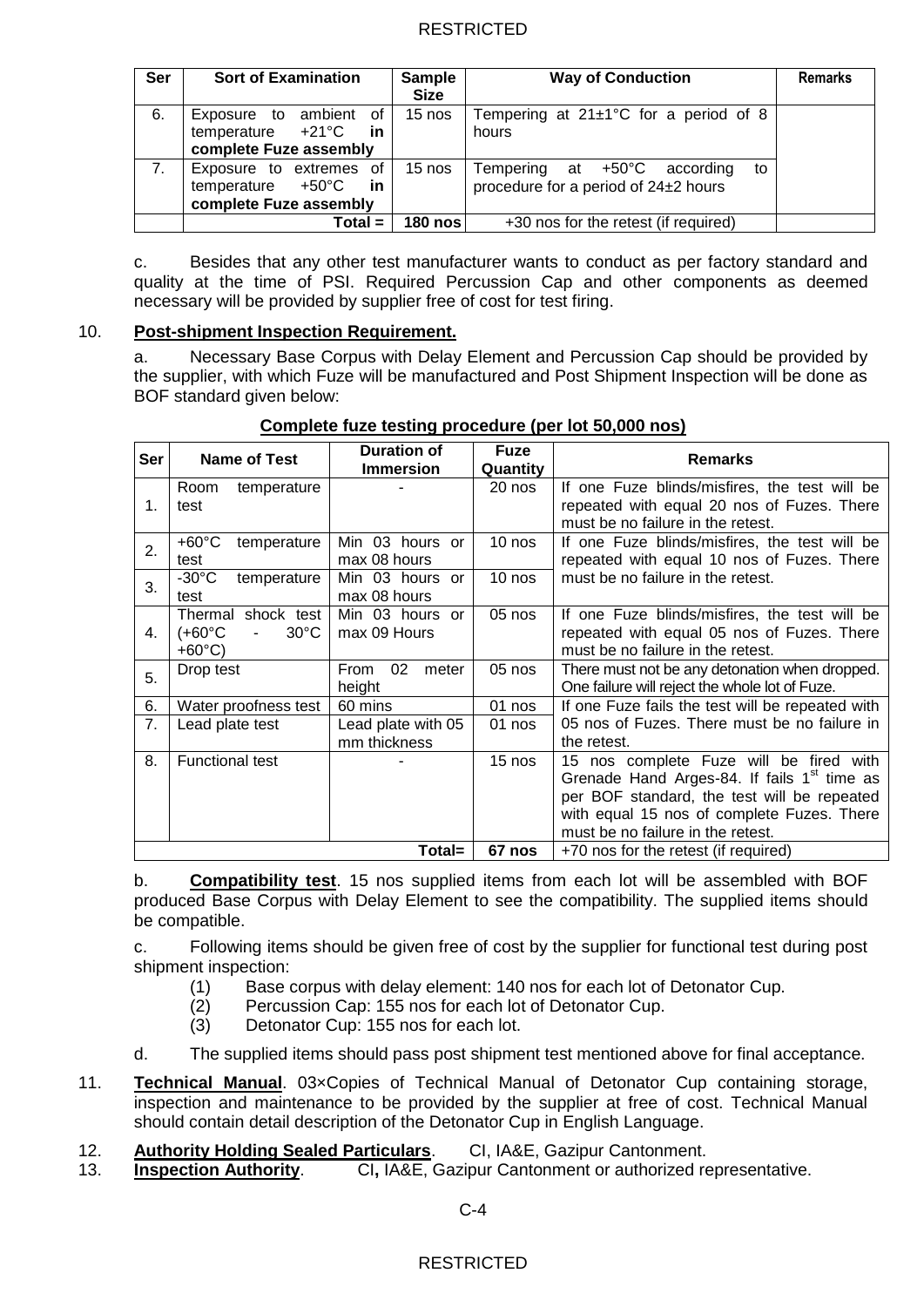| Ser            | <b>Sort of Examination</b>                                                                | <b>Sample</b><br><b>Size</b> | <b>Way of Conduction</b>                                                                | <b>Remarks</b> |
|----------------|-------------------------------------------------------------------------------------------|------------------------------|-----------------------------------------------------------------------------------------|----------------|
| 6.             | Exposure to ambient of<br>temperature $+21^{\circ}$ C<br>in in<br>complete Fuze assembly  | $15$ nos                     | Tempering at $21\pm1$ °C for a period of 8<br>hours                                     |                |
| 7 <sub>1</sub> | Exposure to extremes of<br>temperature $+50^{\circ}$ C<br>in in<br>complete Fuze assembly | $15$ nos                     | Tempering at $+50^{\circ}$ C<br>according<br>to<br>procedure for a period of 24±2 hours |                |
|                | 180 nos<br>Total =                                                                        |                              | +30 nos for the retest (if required)                                                    |                |

c. Besides that any other test manufacturer wants to conduct as per factory standard and quality at the time of PSI. Required Percussion Cap and other components as deemed necessary will be provided by supplier free of cost for test firing.

### 10. **Post-shipment Inspection Requirement.**

a. Necessary Base Corpus with Delay Element and Percussion Cap should be provided by the supplier, with which Fuze will be manufactured and Post Shipment Inspection will be done as BOF standard given below:

| Ser    | <b>Name of Test</b>                                                | <b>Duration of</b><br><b>Immersion</b> | <b>Fuze</b><br>Quantity | <b>Remarks</b>                                                                                                                                                                                                                       |
|--------|--------------------------------------------------------------------|----------------------------------------|-------------------------|--------------------------------------------------------------------------------------------------------------------------------------------------------------------------------------------------------------------------------------|
| 1.     | Room<br>temperature<br>test                                        |                                        | 20 nos                  | If one Fuze blinds/misfires, the test will be<br>repeated with equal 20 nos of Fuzes. There<br>must be no failure in the retest.                                                                                                     |
| 2.     | $+60^{\circ}$ C<br>temperature<br>test                             | Min 03 hours or<br>max 08 hours        | $10$ nos                | If one Fuze blinds/misfires, the test will be<br>repeated with equal 10 nos of Fuzes. There                                                                                                                                          |
| 3.     | $-30^{\circ}$ C<br>temperature<br>test                             | Min 03 hours or<br>max 08 hours        | 10 nos                  | must be no failure in the retest.                                                                                                                                                                                                    |
| 4.     | Thermal shock test<br>(+60°C<br>$30^{\circ}$ C<br>$+60^{\circ}$ C) | Min 03 hours or<br>max 09 Hours        | 05 nos                  | If one Fuze blinds/misfires, the test will be<br>repeated with equal 05 nos of Fuzes. There<br>must be no failure in the retest.                                                                                                     |
| 5.     | Drop test                                                          | 02<br>From<br>meter<br>height          | 05 nos                  | There must not be any detonation when dropped.<br>One failure will reject the whole lot of Fuze.                                                                                                                                     |
| 6.     | Water proofness test                                               | 60 mins                                | 01 nos                  | If one Fuze fails the test will be repeated with                                                                                                                                                                                     |
| 7.     | Lead plate test                                                    | Lead plate with 05<br>mm thickness     | 01 nos                  | 05 nos of Fuzes. There must be no failure in<br>the retest.                                                                                                                                                                          |
| 8.     | <b>Functional test</b>                                             |                                        | 15 nos                  | 15 nos complete Fuze will be fired with<br>Grenade Hand Arges-84. If fails 1 <sup>st</sup> time as<br>per BOF standard, the test will be repeated<br>with equal 15 nos of complete Fuzes. There<br>must be no failure in the retest. |
| Total= |                                                                    |                                        | 67 nos                  | +70 nos for the retest (if required)                                                                                                                                                                                                 |

### **Complete fuze testing procedure (per lot 50,000 nos)**

b. **Compatibility test**. 15 nos supplied items from each lot will be assembled with BOF produced Base Corpus with Delay Element to see the compatibility. The supplied items should be compatible.

c. Following items should be given free of cost by the supplier for functional test during post shipment inspection:

- (1) Base corpus with delay element: 140 nos for each lot of Detonator Cup.
- (2) Percussion Cap: 155 nos for each lot of Detonator Cup.
- (3) Detonator Cup: 155 nos for each lot.
- d. The supplied items should pass post shipment test mentioned above for final acceptance.
- 11. **Technical Manual**. 03×Copies of Technical Manual of Detonator Cup containing storage, inspection and maintenance to be provided by the supplier at free of cost. Technical Manual should contain detail description of the Detonator Cup in English Language.
- 12. **Authority Holding Sealed Particulars**. CI, IA&E, Gazipur Cantonment.
- 13. **Inspection Authority**. CI**,** IA&E, Gazipur Cantonment or authorized representative.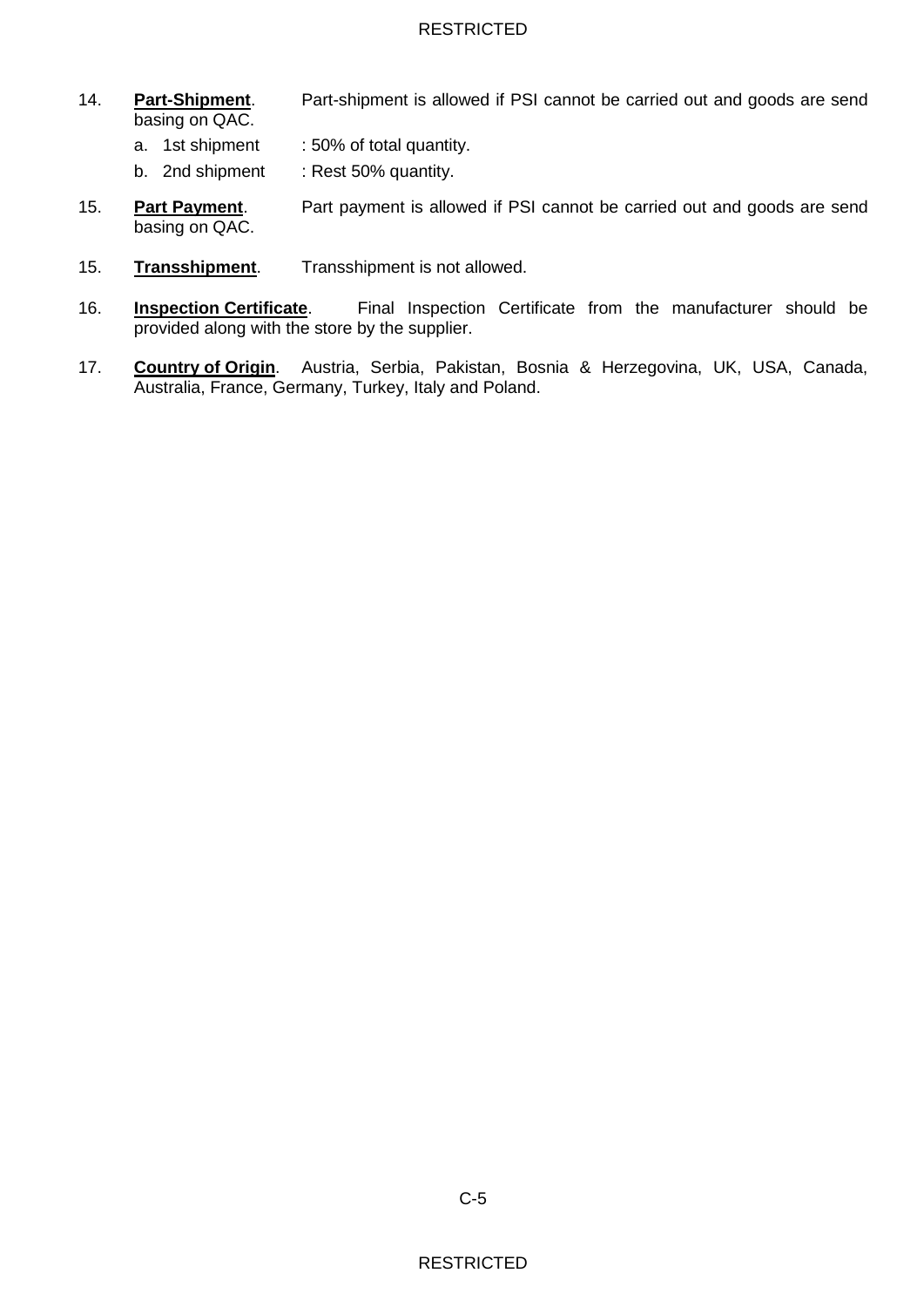- 14. **Part-Shipment**. Part-shipment is allowed if PSI cannot be carried out and goods are send basing on QAC.
	- a. 1st shipment : 50% of total quantity.
	- b. 2nd shipment : Rest 50% quantity.
- 15. **Part Payment**. Part payment is allowed if PSI cannot be carried out and goods are send basing on QAC.
- 15. **Transshipment**. Transshipment is not allowed.
- 16. **Inspection Certificate**. Final Inspection Certificate from the manufacturer should be provided along with the store by the supplier.
- 17. **Country of Origin**. Austria, Serbia, Pakistan, Bosnia & Herzegovina, UK, USA, Canada, Australia, France, Germany, Turkey, Italy and Poland.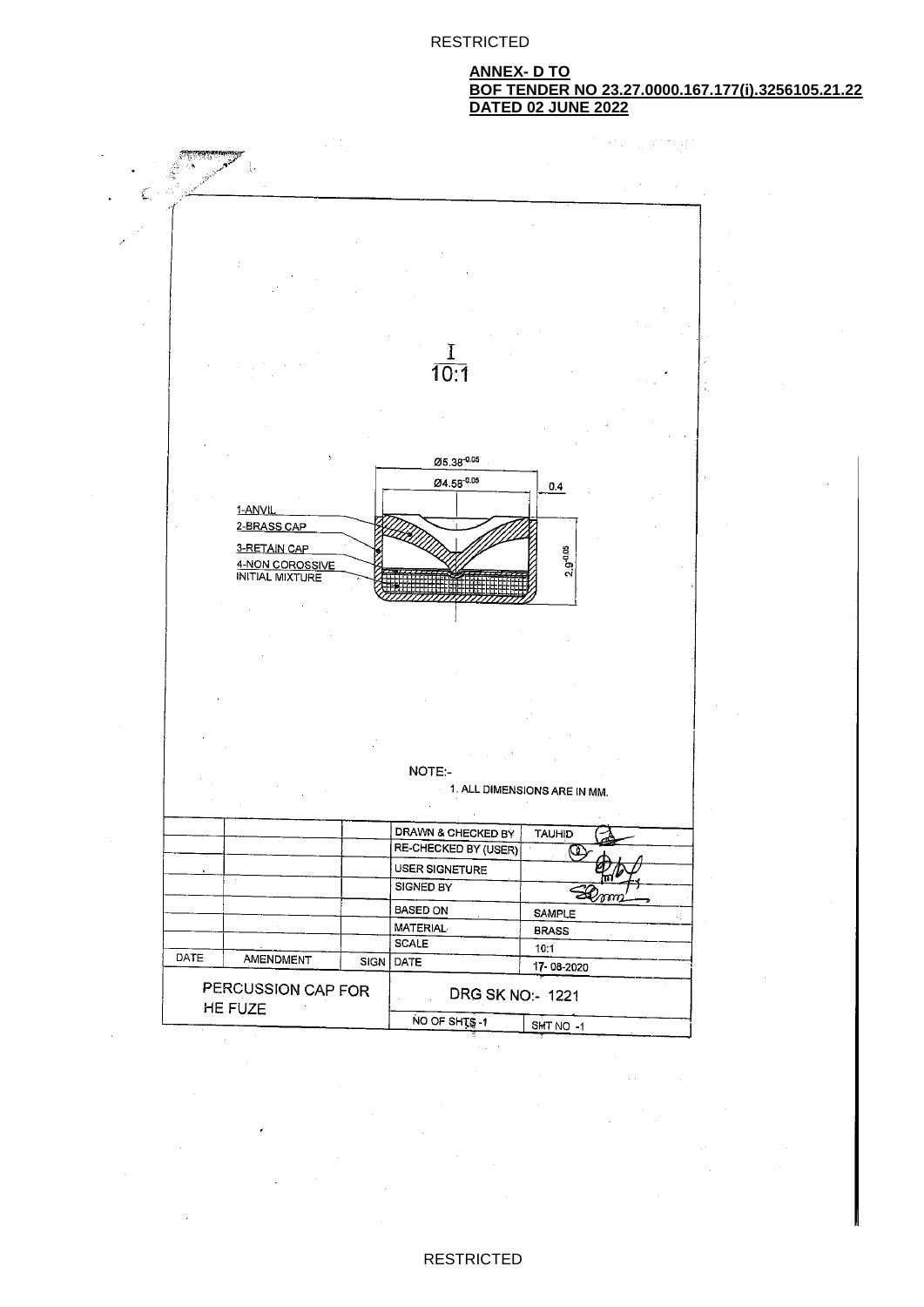#### **ANNEX- D TO BOF TENDER NO 23.27.0000.167.177(i).3256105.21.22 DATED 02 JUNE 2022**